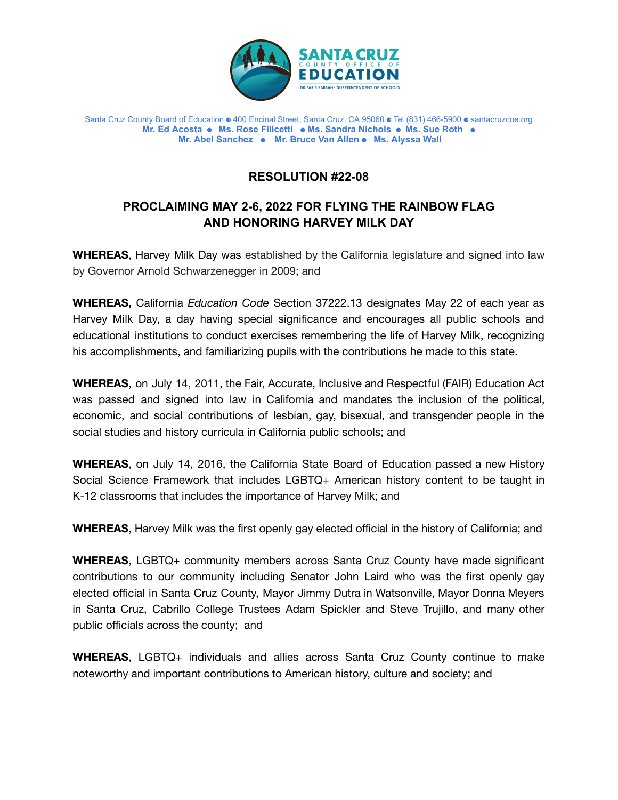

Santa Cruz County Board of Education ⚈ 400 Encinal Street, Santa Cruz, CA 95060 ⚈ Tel (831) 466-5900 ⚈ santacruzcoe.org **Mr. Ed Acosta** ⚈ **Ms. Rose Filicetti** ⚈ **Ms. Sandra Nichols** ⚈ **Ms. Sue Roth** ⚈ **Mr. Abel Sanchez** ⚈ **Mr. Bruce Van Allen** ⚈ **Ms. Alyssa Wall**

## **RESOLUTION #22-08**

## **PROCLAIMING MAY 2-6, 2022 FOR FLYING THE RAINBOW FLAG AND HONORING HARVEY MILK DAY**

**WHEREAS**, Harvey Milk Day was established by the California legislature and signed into law by Governor Arnold Schwarzenegger in 2009; and

**WHEREAS,** California *Education Code* Section 37222.13 designates May 22 of each year as Harvey Milk Day, a day having special significance and encourages all public schools and educational institutions to conduct exercises remembering the life of Harvey Milk, recognizing his accomplishments, and familiarizing pupils with the contributions he made to this state.

**WHEREAS**, on July 14, 2011, the Fair, Accurate, Inclusive and Respectful (FAIR) Education Act was passed and signed into law in California and mandates the inclusion of the political, economic, and social contributions of lesbian, gay, bisexual, and transgender people in the social studies and history curricula in California public schools; and

**WHEREAS**, on July 14, 2016, the California State Board of Education passed a new History Social Science Framework that includes LGBTQ+ American history content to be taught in K-12 classrooms that includes the importance of Harvey Milk; and

**WHEREAS**, Harvey Milk was the first openly gay elected official in the history of California; and

**WHEREAS**, LGBTQ+ community members across Santa Cruz County have made significant contributions to our community including Senator John Laird who was the first openly gay elected official in Santa Cruz County, Mayor Jimmy Dutra in Watsonville, Mayor Donna Meyers in Santa Cruz, Cabrillo College Trustees Adam Spickler and Steve Trujillo, and many other public officials across the county; and

**WHEREAS**, LGBTQ+ individuals and allies across Santa Cruz County continue to make noteworthy and important contributions to American history, culture and society; and